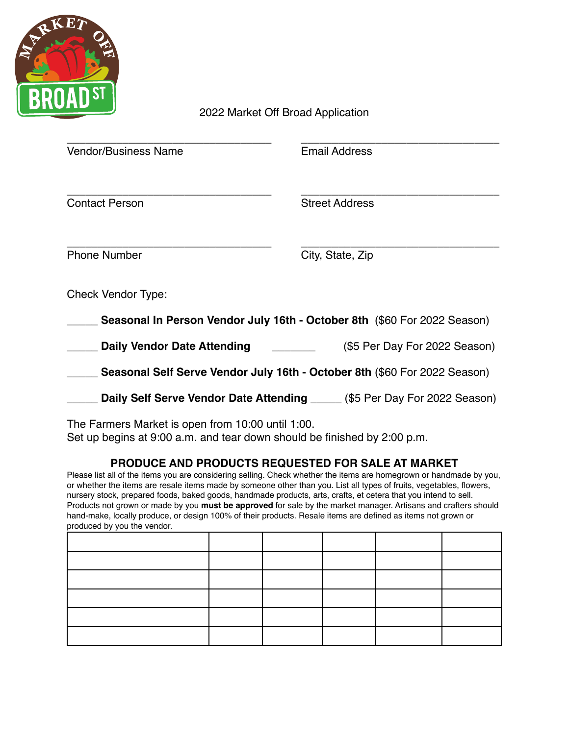

2022 Market Off Broad Application

| <b>Vendor/Business Name</b>                                                                                                   | <b>Email Address</b>          |  |  |  |
|-------------------------------------------------------------------------------------------------------------------------------|-------------------------------|--|--|--|
|                                                                                                                               |                               |  |  |  |
| <b>Contact Person</b>                                                                                                         | <b>Street Address</b>         |  |  |  |
|                                                                                                                               |                               |  |  |  |
| <b>Phone Number</b>                                                                                                           | City, State, Zip              |  |  |  |
| <b>Check Vendor Type:</b>                                                                                                     |                               |  |  |  |
| Seasonal In Person Vendor July 16th - October 8th (\$60 For 2022 Season)                                                      |                               |  |  |  |
| <b>Daily Vendor Date Attending</b>                                                                                            | (\$5 Per Day For 2022 Season) |  |  |  |
| Seasonal Self Serve Vendor July 16th - October 8th (\$60 For 2022 Season)                                                     |                               |  |  |  |
| Daily Self Serve Vendor Date Attending _____ (\$5 Per Day For 2022 Season)                                                    |                               |  |  |  |
| The Farmers Market is open from 10:00 until 1:00.<br>Set up begins at 9:00 a.m. and tear down should be finished by 2:00 p.m. |                               |  |  |  |

## **PRODUCE AND PRODUCTS REQUESTED FOR SALE AT MARKET**

Please list all of the items you are considering selling. Check whether the items are homegrown or handmade by you, or whether the items are resale items made by someone other than you. List all types of fruits, vegetables, flowers, nursery stock, prepared foods, baked goods, handmade products, arts, crafts, et cetera that you intend to sell. Products not grown or made by you **must be approved** for sale by the market manager. Artisans and crafters should hand-make, locally produce, or design 100% of their products. Resale items are defined as items not grown or produced by you the vendor.